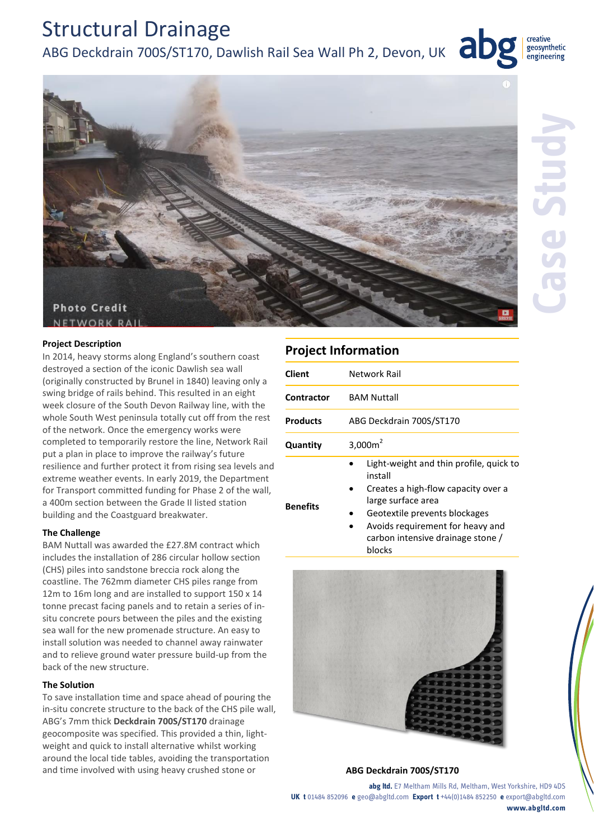# Structural Drainage

ABG Deckdrain 700S/ST170, Dawlish Rail Sea Wall Ph 2, Devon, UK



creative

geosynthetic engineering

ab

#### **Project Description**

In 2014, heavy storms along England's southern coast destroyed a section of the iconic Dawlish sea wall (originally constructed by Brunel in 1840) leaving only a swing bridge of rails behind. This resulted in an eight week closure of the South Devon Railway line, with the whole South West peninsula totally cut off from the rest of the network. Once the emergency works were completed to temporarily restore the line, Network Rail put a plan in place to improve the railway's future resilience and further protect it from rising sea levels and extreme weather events. In early 2019, the Department for Transport committed funding for Phase 2 of the wall, a 400m section between the Grade II listed station building and the Coastguard breakwater.

## **The Challenge**

BAM Nuttall was awarded the £27.8M contract which includes the installation of 286 circular hollow section (CHS) piles into sandstone breccia rock along the coastline. The 762mm diameter CHS piles range from 12m to 16m long and are installed to support 150 x 14 tonne precast facing panels and to retain a series of insitu concrete pours between the piles and the existing sea wall for the new promenade structure. An easy to install solution was needed to channel away rainwater and to relieve ground water pressure build-up from the back of the new structure.

## **The Solution**

To save installation time and space ahead of pouring the in-situ concrete structure to the back of the CHS pile wall, ABG's 7mm thick **Deckdrain 700S/ST170** drainage geocomposite was specified. This provided a thin, lightweight and quick to install alternative whilst working around the local tide tables, avoiding the transportation and time involved with using heavy crushed stone or **ABG Deckdrain 700S/ST170**

## **Project Information**

| Client          | Network Rail                                                                                                                                                                                                                        |
|-----------------|-------------------------------------------------------------------------------------------------------------------------------------------------------------------------------------------------------------------------------------|
| Contractor      | <b>BAM Nuttall</b>                                                                                                                                                                                                                  |
| <b>Products</b> | ABG Deckdrain 700S/ST170                                                                                                                                                                                                            |
| Quantity        | 3,000 $m2$                                                                                                                                                                                                                          |
| <b>Benefits</b> | Light-weight and thin profile, quick to<br>install<br>Creates a high-flow capacity over a<br>large surface area<br>Geotextile prevents blockages<br>Avoids requirement for heavy and<br>carbon intensive drainage stone /<br>blocks |



**abg ltd.** E7 Meltham Mills Rd, Meltham, West Yorkshire, HD9 4DS **UK t** 01484 852096 **e** geo@abgltd.com **Export t** +44(0)1484 852250 **e** export@abgltd.com **www.abgltd.com**